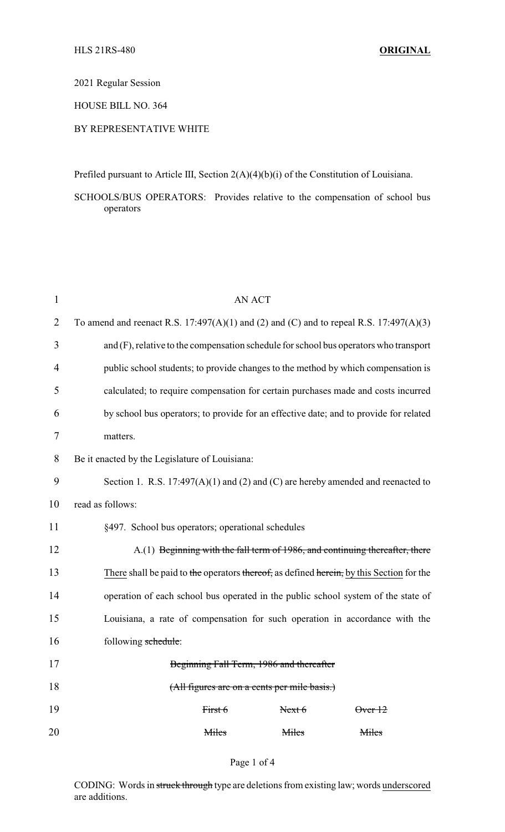2021 Regular Session

HOUSE BILL NO. 364

## BY REPRESENTATIVE WHITE

Prefiled pursuant to Article III, Section 2(A)(4)(b)(i) of the Constitution of Louisiana.

SCHOOLS/BUS OPERATORS: Provides relative to the compensation of school bus operators

| $\mathbf{1}$ | <b>AN ACT</b>                                                                            |  |  |  |  |
|--------------|------------------------------------------------------------------------------------------|--|--|--|--|
| 2            | To amend and reenact R.S. 17:497(A)(1) and (2) and (C) and to repeal R.S. 17:497(A)(3)   |  |  |  |  |
| 3            | and (F), relative to the compensation schedule for school bus operators who transport    |  |  |  |  |
| 4            | public school students; to provide changes to the method by which compensation is        |  |  |  |  |
| 5            | calculated; to require compensation for certain purchases made and costs incurred        |  |  |  |  |
| 6            | by school bus operators; to provide for an effective date; and to provide for related    |  |  |  |  |
| 7            | matters.                                                                                 |  |  |  |  |
| 8            | Be it enacted by the Legislature of Louisiana:                                           |  |  |  |  |
| 9            | Section 1. R.S. 17:497(A)(1) and (2) and (C) are hereby amended and reenacted to         |  |  |  |  |
| 10           | read as follows:                                                                         |  |  |  |  |
| 11           | §497. School bus operators; operational schedules                                        |  |  |  |  |
| 12           | A.(1) Beginning with the fall term of 1986, and continuing thereafter, there             |  |  |  |  |
| 13           | There shall be paid to the operators thereof, as defined herein, by this Section for the |  |  |  |  |
| 14           | operation of each school bus operated in the public school system of the state of        |  |  |  |  |
| 15           | Louisiana, a rate of compensation for such operation in accordance with the              |  |  |  |  |
| 16           | following schedule:                                                                      |  |  |  |  |
| 17           | Beginning Fall Term, 1986 and thereafter                                                 |  |  |  |  |
| 18           | (All figures are on a cents per mile basis.)                                             |  |  |  |  |
| 19           | First 6<br>Next 6<br>$\theta$ ver 12                                                     |  |  |  |  |
| 20           | Miles<br>Miles<br>Miles                                                                  |  |  |  |  |

CODING: Words in struck through type are deletions from existing law; words underscored are additions.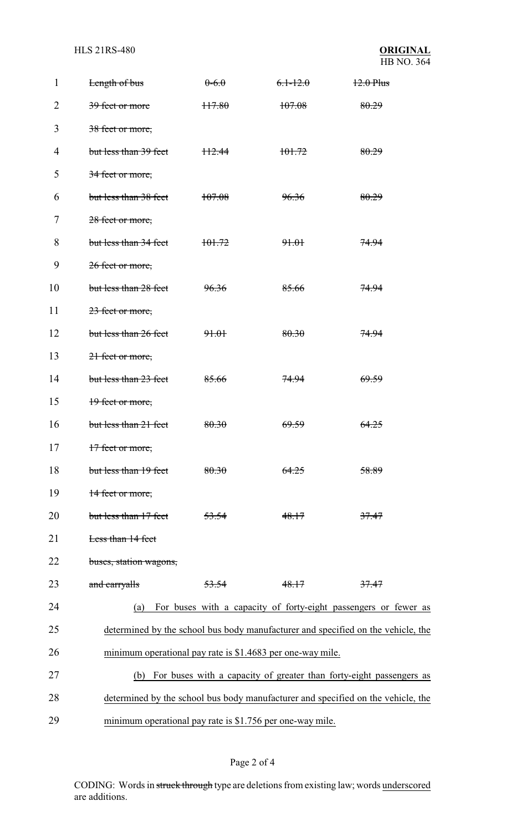**HLS 21RS-480** 

| 1  | Length of bus                                              | $0-6.0$ | $6.1 - 12.0$     | $12.0$ Plus                                                                      |  |
|----|------------------------------------------------------------|---------|------------------|----------------------------------------------------------------------------------|--|
| 2  | 39 feet or more                                            | H7.80   | 107.08           | 80.29                                                                            |  |
| 3  | 38 feet or more,                                           |         |                  |                                                                                  |  |
| 4  | but less than 39 feet                                      | H2.44   | 101.72           | 80.29                                                                            |  |
| 5  | 34 feet or more,                                           |         |                  |                                                                                  |  |
| 6  | but less than 38 feet                                      | 107.08  | <del>96.36</del> | 80.29                                                                            |  |
| 7  | 28 feet or more,                                           |         |                  |                                                                                  |  |
| 8  | but less than 34 feet                                      | 101.72  | 91.01            | 74.94                                                                            |  |
| 9  | 26 feet or more,                                           |         |                  |                                                                                  |  |
| 10 | but less than 28 feet                                      | 96.36   | 85.66            | <del>74.94</del>                                                                 |  |
| 11 | 23 feet or more,                                           |         |                  |                                                                                  |  |
| 12 | but less than 26 feet                                      | 91.01   | 80.30            | 74.94                                                                            |  |
| 13 | 21 feet or more,                                           |         |                  |                                                                                  |  |
| 14 | but less than 23 feet                                      | 85.66   | <del>74.94</del> | <del>69.59</del>                                                                 |  |
| 15 | 19 feet or more,                                           |         |                  |                                                                                  |  |
| 16 | but less than 21 feet                                      | 80.30   | <del>69.59</del> | <del>64.25</del>                                                                 |  |
| 17 | 17 feet or more,                                           |         |                  |                                                                                  |  |
| 18 | but less than 19 feet                                      | 80.30   | 64.25            | 58.89                                                                            |  |
| 19 | 14 feet or more,                                           |         |                  |                                                                                  |  |
| 20 | but less than 17 feet                                      | 53.54   | 48.17            | 37.47                                                                            |  |
| 21 | Less than 14 feet                                          |         |                  |                                                                                  |  |
| 22 | buses, station wagons,                                     |         |                  |                                                                                  |  |
| 23 | and carryalls                                              | 53.54   | 48.17            | 37.47                                                                            |  |
| 24 | (a)                                                        |         |                  | For buses with a capacity of forty-eight passengers or fewer as                  |  |
| 25 |                                                            |         |                  | determined by the school bus body manufacturer and specified on the vehicle, the |  |
| 26 | minimum operational pay rate is \$1.4683 per one-way mile. |         |                  |                                                                                  |  |
| 27 | (b)                                                        |         |                  | For buses with a capacity of greater than forty-eight passengers as              |  |
| 28 |                                                            |         |                  | determined by the school bus body manufacturer and specified on the vehicle, the |  |
| 29 | minimum operational pay rate is \$1.756 per one-way mile.  |         |                  |                                                                                  |  |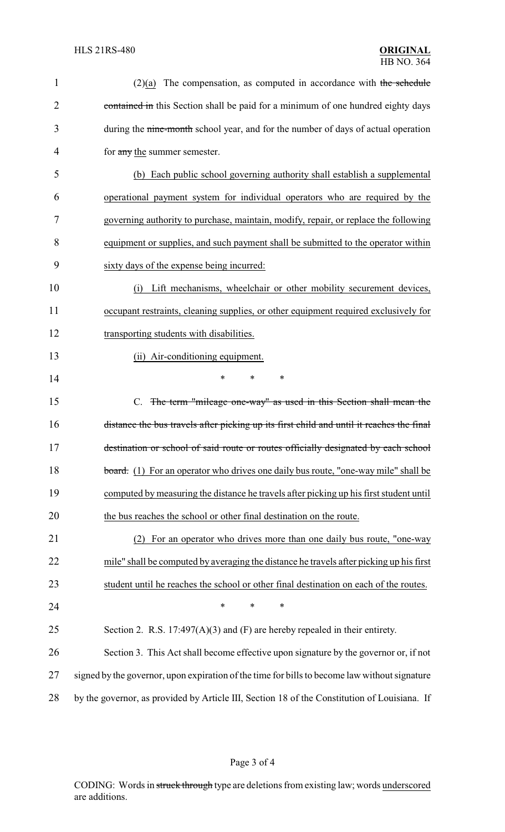| $\mathbf{1}$   | $(2)(a)$ The compensation, as computed in accordance with the schedule                        |
|----------------|-----------------------------------------------------------------------------------------------|
| $\overline{2}$ | contained in this Section shall be paid for a minimum of one hundred eighty days              |
| 3              | during the nine-month school year, and for the number of days of actual operation             |
| 4              | for any the summer semester.                                                                  |
| 5              | (b) Each public school governing authority shall establish a supplemental                     |
| 6              | operational payment system for individual operators who are required by the                   |
| 7              | governing authority to purchase, maintain, modify, repair, or replace the following           |
| 8              | equipment or supplies, and such payment shall be submitted to the operator within             |
| 9              | sixty days of the expense being incurred:                                                     |
| 10             | Lift mechanisms, wheelchair or other mobility securement devices,<br>(i)                      |
| 11             | occupant restraints, cleaning supplies, or other equipment required exclusively for           |
| 12             | transporting students with disabilities.                                                      |
| 13             | (ii) Air-conditioning equipment.                                                              |
| 14             | ∗<br>*                                                                                        |
| 15             | C. The term "mileage one-way" as used in this Section shall mean the                          |
| 16             | distance the bus travels after picking up its first child and until it reaches the final      |
| 17             | destination or school of said route or routes officially designated by each school            |
| 18             | board. (1) For an operator who drives one daily bus route, "one-way mile" shall be            |
| 19             | computed by measuring the distance he travels after picking up his first student until        |
| 20             | the bus reaches the school or other final destination on the route.                           |
| 21             | For an operator who drives more than one daily bus route, "one-way                            |
| 22             | mile" shall be computed by averaging the distance he travels after picking up his first       |
| 23             | student until he reaches the school or other final destination on each of the routes.         |
| 24             | $\ast$<br>*<br>$\ast$                                                                         |
| 25             | Section 2. R.S. $17:497(A)(3)$ and (F) are hereby repealed in their entirety.                 |
| 26             | Section 3. This Act shall become effective upon signature by the governor or, if not          |
| 27             | signed by the governor, upon expiration of the time for bills to become law without signature |
| 28             | by the governor, as provided by Article III, Section 18 of the Constitution of Louisiana. If  |